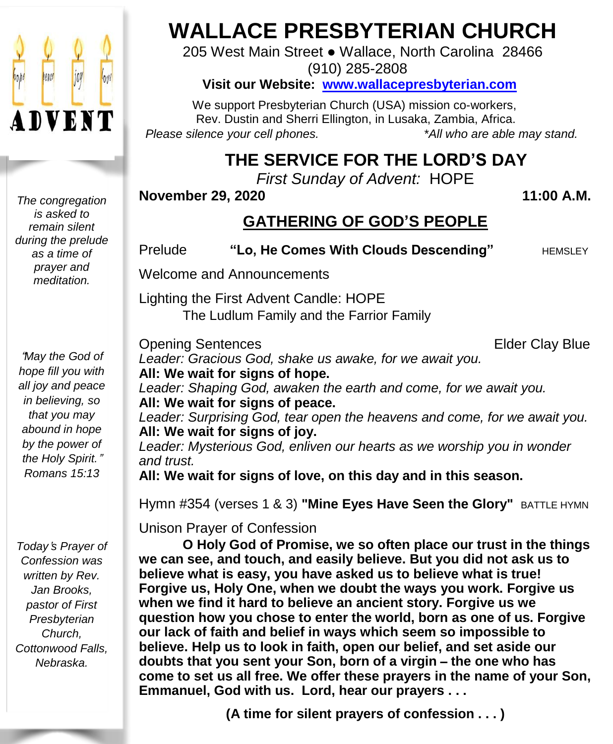

*The congregation is asked to remain silent during the prelude as a time of prayer and meditation.*

"*May the God of hope fill you with all joy and peace in believing, so that you may abound in hope by the power of the Holy Spirit.*" *Romans 15:13*

*Today*'*s Prayer of Confession was written by Rev. Jan Brooks, pastor of First Presbyterian Church, Cottonwood Falls, Nebraska.*

## **WALLACE PRESBYTERIAN CHURCH**

205 West Main Street ● Wallace, North Carolina 28466 (910) 285-2808

#### **Visit our Website: [www.wallacepresbyterian.com](http://www.wallacepresbyterian.com/)**

 We support Presbyterian Church (USA) mission co-workers, Rev. Dustin and Sherri Ellington, in Lusaka, Zambia, Africa. *Please silence your cell phones. \*All who are able may stand.*

## **THE SERVICE FOR THE LORD'S DAY**

*First Sunday of Advent:* HOPE

**November 29, 2020 11:00 A.M.**

## **GATHERING OF GOD'S PEOPLE**

**Prelude "Lo, He Comes With Clouds Descending"** HEMSLEY

Welcome and Announcements

Lighting the First Advent Candle: HOPE The Ludlum Family and the Farrior Family

**Opening Sentences Elder Clay Blue** 

*Leader: Gracious God, shake us awake, for we await you.* **All: We wait for signs of hope.** *Leader: Shaping God, awaken the earth and come, for we await you.* **All: We wait for signs of peace.** *Leader: Surprising God, tear open the heavens and come, for we await you.* **All: We wait for signs of joy.** *Leader: Mysterious God, enliven our hearts as we worship you in wonder and trust.* **All: We wait for signs of love, on this day and in this season.**

Hymn #354 (verses 1 & 3) **"Mine Eyes Have Seen the Glory"** BATTLE HYMN

Unison Prayer of Confession

**O Holy God of Promise, we so often place our trust in the things we can see, and touch, and easily believe. But you did not ask us to believe what is easy, you have asked us to believe what is true! Forgive us, Holy One, when we doubt the ways you work. Forgive us when we find it hard to believe an ancient story. Forgive us we question how you chose to enter the world, born as one of us. Forgive our lack of faith and belief in ways which seem so impossible to believe. Help us to look in faith, open our belief, and set aside our doubts that you sent your Son, born of a virgin** – **the one who has come to set us all free. We offer these prayers in the name of your Son, Emmanuel, God with us. Lord, hear our prayers . . .**

**(A time for silent prayers of confession . . . )**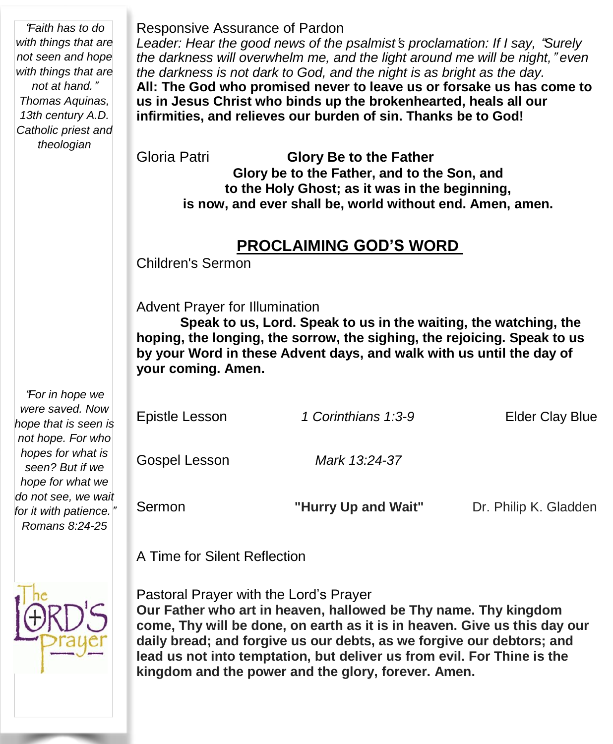"*Faith has to do with things that are not seen and hope with things that are not at hand.*" *Thomas Aquinas,* 13th century A. *Catholic* priest a *theologian*

| ЭS,<br>.D.<br>and | All: The God who promised never to leave us or forsake us has come to<br>us in Jesus Christ who binds up the brokenhearted, heals all our<br>infirmities, and relieves our burden of sin. Thanks be to God! |  |  |  |
|-------------------|-------------------------------------------------------------------------------------------------------------------------------------------------------------------------------------------------------------|--|--|--|
|                   | Gloria Patri<br><b>Glory Be to the Father</b>                                                                                                                                                               |  |  |  |
|                   | Glory be to the Father, and to the Son, and                                                                                                                                                                 |  |  |  |
|                   | to the Holy Ghost; as it was in the beginning,                                                                                                                                                              |  |  |  |
|                   | is now, and ever shall be, world without end. Amen, amen.                                                                                                                                                   |  |  |  |
|                   | <b>PROCLAIMING GOD'S WORD</b>                                                                                                                                                                               |  |  |  |
|                   | Children's Sermon                                                                                                                                                                                           |  |  |  |
|                   | <b>Advent Prayer for Illumination</b><br>Speak to us, Lord. Speak to us in the waiting, the watching, the<br>hoping, the longing, the sorrow, the sighing, the rejoicing. Speak to us                       |  |  |  |

*Leader: Hear the good news of the psalmist*'*s proclamation: If I say,* "*Surely the darkness will overwhelm me, and the light around me will be night,*" *even*

*the darkness is not dark to God, and the night is as bright as the day.*

**hoping, the longing, the sorrow, the sighing, the rejoicing. Speak to us by your Word in these Advent days, and walk with us until the day of your coming. Amen.**

| "For in hope we<br>were saved. Now<br>hope that is seen is<br>not hope. For who | Epistle Lesson | 1 Corinthians 1:3-9 | <b>Elder Clay Blue</b> |
|---------------------------------------------------------------------------------|----------------|---------------------|------------------------|
| hopes for what is<br>seen? But if we<br>hope for what we                        | Gospel Lesson  | Mark 13:24-37       |                        |
| do not see, we wait<br>for it with patience."<br>Romans 8:24-25                 | Sermon         | "Hurry Up and Wait" | Dr. Philip K. Gladden  |

A Time for Silent Reflection

Responsive Assurance of Pardon



Pastoral Prayer with the Lord's Prayer

**Our Father who art in heaven, hallowed be Thy name. Thy kingdom come, Thy will be done, on earth as it is in heaven. Give us this day our daily bread; and forgive us our debts, as we forgive our debtors; and lead us not into temptation, but deliver us from evil. For Thine is the kingdom and the power and the glory, forever. Amen.**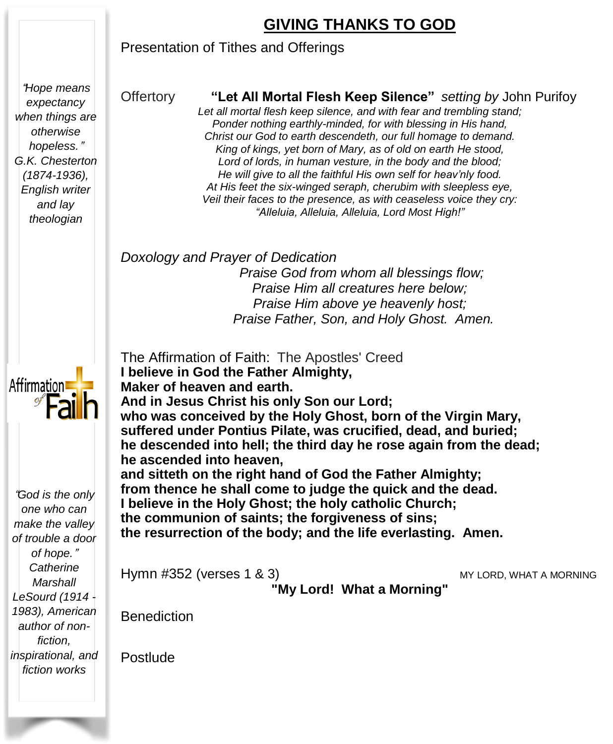## **GIVING THANKS TO GOD**

#### Presentation of Tithes and Offerings

"*Hope means expectancy when things are otherwise hopeless.*" *G.K. Chesterton (1874-1936), English writer and lay theologian*

#### Offertory **"Let All Mortal Flesh Keep Silence"** *setting by* John Purifoy

*Let all mortal flesh keep silence, and with fear and trembling stand; Ponder nothing earthly-minded, for with blessing in His hand, Christ our God to earth descendeth, our full homage to demand. King of kings, yet born of Mary, as of old on earth He stood, Lord of lords, in human vesture, in the body and the blood; He will give to all the faithful His own self for heav'nly food. At His feet the six-winged seraph, cherubim with sleepless eye, Veil their faces to the presence, as with ceaseless voice they cry: "Alleluia, Alleluia, Alleluia, Lord Most High!"*

#### *Doxology and Prayer of Dedication*

*Praise God from whom all blessings flow; Praise Him all creatures here below; Praise Him above ye heavenly host; Praise Father, Son, and Holy Ghost. Amen.*

The Affirmation of Faith: The Apostles' Creed **I believe in God the Father Almighty, Maker of heaven and earth. And in Jesus Christ his only Son our Lord; who was conceived by the Holy Ghost, born of the Virgin Mary, suffered under Pontius Pilate, was crucified, dead, and buried; he descended into hell; the third day he rose again from the dead; he ascended into heaven, and sitteth on the right hand of God the Father Almighty; from thence he shall come to judge the quick and the dead. I believe in the Holy Ghost; the holy catholic Church; the communion of saints; the forgiveness of sins; the resurrection of the body; and the life everlasting. Amen.**

Hymn #352 (verses 1 & 3) MY LORD, WHAT A MORNING

**"My Lord! What a Morning"**

**Benediction** 

Postlude



"*God is the only one who can make the valley of trouble a door of hope.*" *Catherine Marshall LeSourd (1914 - 1983), American author of nonfiction, inspirational, and fiction works*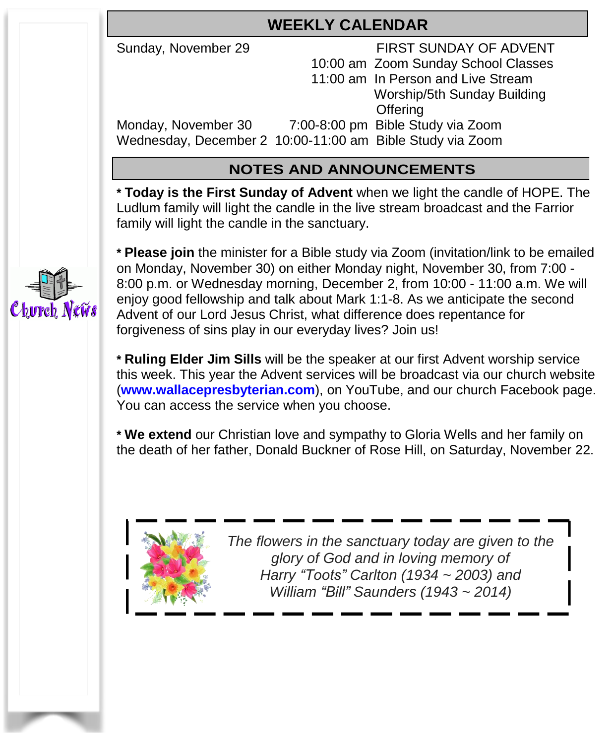## **WEEKLY CALENDAR**

Sunday, November 29 FIRST SUNDAY OF ADVENT

 10:00 am Zoom Sunday School Classes 11:00 am In Person and Live Stream Worship/5th Sunday Building **Offering** Monday, November 30 7:00-8:00 pm Bible Study via Zoom Wednesday, December 2 10:00-11:00 am Bible Study via Zoom

#### **NOTES AND ANNOUNCEMENTS**

**\* Today is the First Sunday of Advent** when we light the candle of HOPE. The Ludlum family will light the candle in the live stream broadcast and the Farrior family will light the candle in the sanctuary.



**\* Please join** the minister for a Bible study via Zoom (invitation/link to be emailed on Monday, November 30) on either Monday night, November 30, from 7:00 - 8:00 p.m. or Wednesday morning, December 2, from 10:00 - 11:00 a.m. We will enjoy good fellowship and talk about Mark 1:1-8. As we anticipate the second Advent of our Lord Jesus Christ, what difference does repentance for forgiveness of sins play in our everyday lives? Join us!

**\* Ruling Elder Jim Sills** will be the speaker at our first Advent worship service this week. This year the Advent services will be broadcast via our church website (**[www.wallacepresbyterian.com](http://www.wallacepresbyterian.com/)**), on YouTube, and our church Facebook page. You can access the service when you choose.

**\* We extend** our Christian love and sympathy to Gloria Wells and her family on the death of her father, Donald Buckner of Rose Hill, on Saturday, November 22.



 *The flowers in the sanctuary today are given to the glory of God and in loving memory of Harry "Toots" Carlton (1934 ~ 2003) and William "Bill" Saunders (1943 ~ 2014)*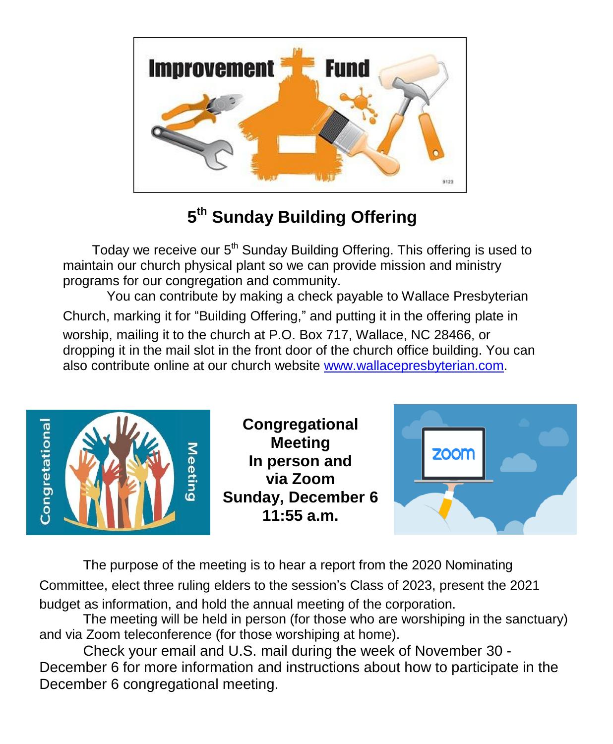

## **5 th Sunday Building Offering**

Today we receive our 5<sup>th</sup> Sunday Building Offering. This offering is used to maintain our church physical plant so we can provide mission and ministry programs for our congregation and community.

You can contribute by making a check payable to Wallace Presbyterian Church, marking it for "Building Offering," and putting it in the offering plate in worship, mailing it to the church at P.O. Box 717, Wallace, NC 28466, or dropping it in the mail slot in the front door of the church office building. You can also contribute online at our church website [www.wallacepresbyterian.com.](http://www.wallacepresbyterian.com/)



The purpose of the meeting is to hear a report from the 2020 Nominating Committee, elect three ruling elders to the session's Class of 2023, present the 2021 budget as information, and hold the annual meeting of the corporation.

The meeting will be held in person (for those who are worshiping in the sanctuary) and via Zoom teleconference (for those worshiping at home).

Check your email and U.S. mail during the week of November 30 - December 6 for more information and instructions about how to participate in the December 6 congregational meeting.